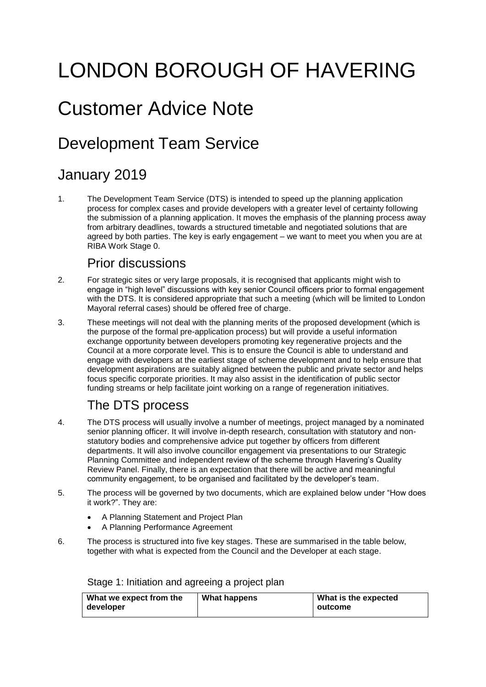# LONDON BOROUGH OF HAVERING

## Customer Advice Note

## Development Team Service

## January 2019

 $1<sub>1</sub>$  agreed by both parties. The key is early engagement – we want to meet you when you are at The Development Team Service (DTS) is intended to speed up the planning application process for complex cases and provide developers with a greater level of certainty following the submission of a planning application. It moves the emphasis of the planning process away from arbitrary deadlines, towards a structured timetable and negotiated solutions that are RIBA Work Stage 0.

## Prior discussions

- with the DTS. It is considered appropriate that such a meeting (which will be limited to London 2. For strategic sites or very large proposals, it is recognised that applicants might wish to engage in "high level" discussions with key senior Council officers prior to formal engagement Mayoral referral cases) should be offered free of charge.
- 3. These meetings will not deal with the planning merits of the proposed development (which is the purpose of the formal pre-application process) but will provide a useful information development aspirations are suitably aligned between the public and private sector and helps focus specific corporate priorities. It may also assist in the identification of public sector funding streams or help facilitate joint working on a range of regeneration initiatives. exchange opportunity between developers promoting key regenerative projects and the Council at a more corporate level. This is to ensure the Council is able to understand and engage with developers at the earliest stage of scheme development and to help ensure that

## The DTS process

- 4. The DTS process will usually involve a number of meetings, project managed by a nominated statutory bodies and comprehensive advice put together by officers from different senior planning officer. It will involve in-depth research, consultation with statutory and nondepartments. It will also involve councillor engagement via presentations to our Strategic Planning Committee and independent review of the scheme through Havering's Quality Review Panel. Finally, there is an expectation that there will be active and meaningful community engagement, to be organised and facilitated by the developer's team.
- 5. The process will be governed by two documents, which are explained below under "How does it work?". They are:
	- A Planning Statement and Project Plan
	- A Planning Performance Agreement
- 6. The process is structured into five key stages. These are summarised in the table below, together with what is expected from the Council and the Developer at each stage.

Stage 1: Initiation and agreeing a project plan

| <b>What we expect from the</b> | What happens | What is the expected |
|--------------------------------|--------------|----------------------|
| developer                      |              | outcome              |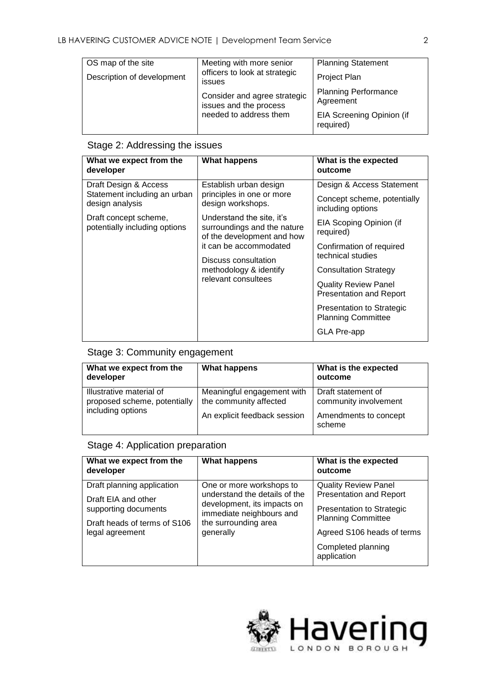| OS map of the site         | Meeting with more senior                                                         | <b>Planning Statement</b>                |
|----------------------------|----------------------------------------------------------------------------------|------------------------------------------|
| Description of development | officers to look at strategic<br>issues                                          | <b>Project Plan</b>                      |
|                            | Consider and agree strategic<br>issues and the process<br>needed to address them | <b>Planning Performance</b><br>Agreement |
|                            |                                                                                  | EIA Screening Opinion (if<br>required)   |

### Stage 2: Addressing the issues

| What we expect from the<br>developer                                                                                               | <b>What happens</b>                                                                                                                                                                                                                                                   | What is the expected<br>outcome                                                                                                                                                                                                                                                                             |
|------------------------------------------------------------------------------------------------------------------------------------|-----------------------------------------------------------------------------------------------------------------------------------------------------------------------------------------------------------------------------------------------------------------------|-------------------------------------------------------------------------------------------------------------------------------------------------------------------------------------------------------------------------------------------------------------------------------------------------------------|
| Draft Design & Access<br>Statement including an urban<br>design analysis<br>Draft concept scheme,<br>potentially including options | Establish urban design<br>principles in one or more<br>design workshops.<br>Understand the site, it's<br>surroundings and the nature<br>of the development and how<br>it can be accommodated<br>Discuss consultation<br>methodology & identify<br>relevant consultees | Design & Access Statement<br>Concept scheme, potentially<br>including options<br>EIA Scoping Opinion (if<br>required)<br>Confirmation of required<br>technical studies<br><b>Consultation Strategy</b><br><b>Quality Review Panel</b><br><b>Presentation and Report</b><br><b>Presentation to Strategic</b> |
|                                                                                                                                    |                                                                                                                                                                                                                                                                       | <b>Planning Committee</b><br>GLA Pre-app                                                                                                                                                                                                                                                                    |

#### Stage 3: Community engagement

| What we expect from the<br>developer                                          | <b>What happens</b>                                  | What is the expected<br>outcome             |
|-------------------------------------------------------------------------------|------------------------------------------------------|---------------------------------------------|
| Illustrative material of<br>proposed scheme, potentially<br>including options | Meaningful engagement with<br>the community affected | Draft statement of<br>community involvement |
|                                                                               | An explicit feedback session                         | Amendments to concept<br>scheme             |

## Stage 4: Application preparation

| What we expect from the<br>developer            | <b>What happens</b>                                                                                                           | What is the expected<br>outcome                             |
|-------------------------------------------------|-------------------------------------------------------------------------------------------------------------------------------|-------------------------------------------------------------|
| Draft planning application                      | One or more workshops to                                                                                                      | <b>Quality Review Panel</b>                                 |
| Draft EIA and other<br>supporting documents     | understand the details of the<br>development, its impacts on<br>immediate neighbours and<br>the surrounding area<br>generally | <b>Presentation and Report</b><br>Presentation to Strategic |
| Draft heads of terms of S106<br>legal agreement |                                                                                                                               |                                                             |
|                                                 |                                                                                                                               | Completed planning<br>application                           |

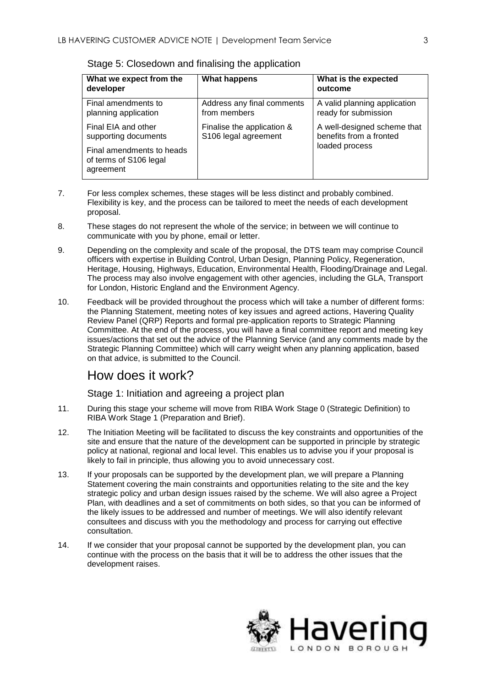| What we expect from the<br>developer                                     | <b>What happens</b>                                | What is the expected<br>outcome                                          |
|--------------------------------------------------------------------------|----------------------------------------------------|--------------------------------------------------------------------------|
| Final amendments to<br>planning application                              | Address any final comments<br>from members         | A valid planning application<br>ready for submission                     |
| Final EIA and other<br>supporting documents<br>Final amendments to heads | Finalise the application &<br>S106 legal agreement | A well-designed scheme that<br>benefits from a fronted<br>loaded process |
| of terms of S106 legal<br>agreement                                      |                                                    |                                                                          |

Stage 5: Closedown and finalising the application

- Flexibility is key, and the process can be tailored to meet the needs of each development 7. For less complex schemes, these stages will be less distinct and probably combined. proposal.
- 8. These stages do not represent the whole of the service; in between we will continue to communicate with you by phone, email or letter.
- officers with expertise in Building Control, Urban Design, Planning Policy, Regeneration, The process may also involve engagement with other agencies, including the GLA, Transport 9. Depending on the complexity and scale of the proposal, the DTS team may comprise Council Heritage, Housing, Highways, Education, Environmental Health, Flooding/Drainage and Legal. for London, Historic England and the Environment Agency.
- 10. Feedback will be provided throughout the process which will take a number of different forms: the Planning Statement, meeting notes of key issues and agreed actions, Havering Quality Review Panel (QRP) Reports and formal pre-application reports to Strategic Planning issues/actions that set out the advice of the Planning Service (and any comments made by the on that advice, is submitted to the Council. Committee. At the end of the process, you will have a final committee report and meeting key Strategic Planning Committee) which will carry weight when any planning application, based

### How does it work?

Stage 1: Initiation and agreeing a project plan

- 11. During this stage your scheme will move from RIBA Work Stage 0 (Strategic Definition) to RIBA Work Stage 1 (Preparation and Brief).
- policy at national, regional and local level. This enables us to advise you if your proposal is likely to fail in principle, thus allowing you to avoid unnecessary cost. 12. The Initiation Meeting will be facilitated to discuss the key constraints and opportunities of the site and ensure that the nature of the development can be supported in principle by strategic
- $13.$  the likely issues to be addressed and number of meetings. We will also identify relevant If your proposals can be supported by the development plan, we will prepare a Planning Statement covering the main constraints and opportunities relating to the site and the key strategic policy and urban design issues raised by the scheme. We will also agree a Project Plan, with deadlines and a set of commitments on both sides, so that you can be informed of consultees and discuss with you the methodology and process for carrying out effective consultation.
- continue with the process on the basis that it will be to address the other issues that the 14. If we consider that your proposal cannot be supported by the development plan, you can development raises.

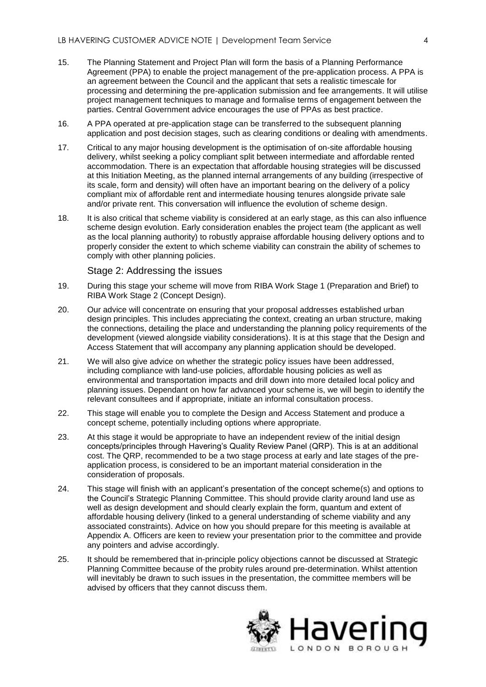- Agreement (PPA) to enable the project management of the pre-application process. A PPA is an agreement between the Council and the applicant that sets a realistic timescale for processing and determining the pre-application submission and fee arrangements. It will utilise 15. The Planning Statement and Project Plan will form the basis of a Planning Performance project management techniques to manage and formalise terms of engagement between the parties. Central Government advice encourages the use of PPAs as best practice.
- 16. A PPA operated at pre-application stage can be transferred to the subsequent planning application and post decision stages, such as clearing conditions or dealing with amendments.
- its scale, form and density) will often have an important bearing on the delivery of a policy 17. Critical to any major housing development is the optimisation of on-site affordable housing delivery, whilst seeking a policy compliant split between intermediate and affordable rented accommodation. There is an expectation that affordable housing strategies will be discussed at this Initiation Meeting, as the planned internal arrangements of any building (irrespective of compliant mix of affordable rent and intermediate housing tenures alongside private sale and/or private rent. This conversation will influence the evolution of scheme design.
- scheme design evolution. Early consideration enables the project team (the applicant as well as the local planning authority) to robustly appraise affordable housing delivery options and to properly consider the extent to which scheme viability can constrain the ability of schemes to 18. It is also critical that scheme viability is considered at an early stage, as this can also influence comply with other planning policies.

#### Stage 2: Addressing the issues

- 19. During this stage your scheme will move from RIBA Work Stage 1 (Preparation and Brief) to RIBA Work Stage 2 (Concept Design).
- 20. Our advice will concentrate on ensuring that your proposal addresses established urban design principles. This includes appreciating the context, creating an urban structure, making the connections, detailing the place and understanding the planning policy requirements of the development (viewed alongside viability considerations). It is at this stage that the Design and Access Statement that will accompany any planning application should be developed.
- including compliance with land-use policies, affordable housing policies as well as planning issues. Dependant on how far advanced your scheme is, we will begin to identify the relevant consultees and if appropriate, initiate an informal consultation process. 21. We will also give advice on whether the strategic policy issues have been addressed, environmental and transportation impacts and drill down into more detailed local policy and
- 22. This stage will enable you to complete the Design and Access Statement and produce a concept scheme, potentially including options where appropriate.
- 23. At this stage it would be appropriate to have an independent review of the initial design concepts/principles through Havering's Quality Review Panel (QRP). This is at an additional application process, is considered to be an important material consideration in the cost. The QRP, recommended to be a two stage process at early and late stages of the preconsideration of proposals.
- affordable housing delivery (linked to a general understanding of scheme viability and any associated constraints). Advice on how you should prepare for this meeting is available at 24. This stage will finish with an applicant's presentation of the concept scheme(s) and options to the Council's Strategic Planning Committee. This should provide clarity around land use as well as design development and should clearly explain the form, quantum and extent of Appendix A. Officers are keen to review your presentation prior to the committee and provide any pointers and advise accordingly.
- 25. It should be remembered that in-principle policy objections cannot be discussed at Strategic will inevitably be drawn to such issues in the presentation, the committee members will be advised by officers that they cannot discuss them. Planning Committee because of the probity rules around pre-determination. Whilst attention

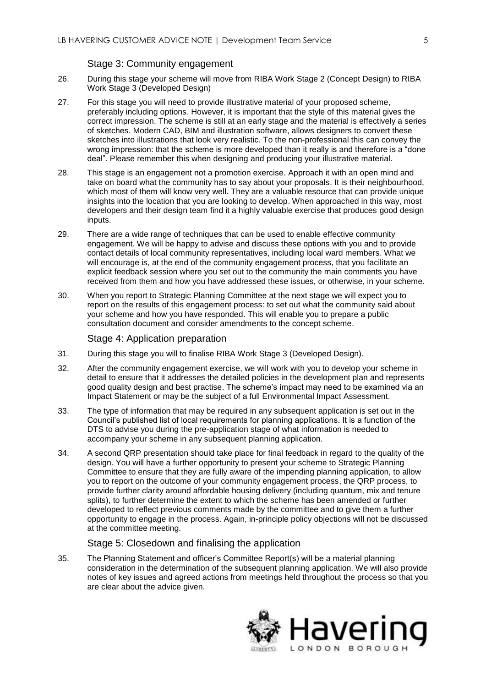#### Stage 3: Community engagement

- 26. During this stage your scheme will move from RIBA Work Stage 2 (Concept Design) to RIBA Work Stage 3 (Developed Design)
- 27. For this stage you will need to provide illustrative material of your proposed scheme, sketches into illustrations that look very realistic. To the non-professional this can convey the deal". Please remember this when designing and producing your illustrative material. preferably including options. However, it is important that the style of this material gives the correct impression. The scheme is still at an early stage and the material is effectively a series of sketches. Modern CAD, BIM and illustration software, allows designers to convert these wrong impression: that the scheme is more developed than it really is and therefore is a "done
- which most of them will know very well. They are a valuable resource that can provide unique developers and their design team find it a highly valuable exercise that produces good design 28. This stage is an engagement not a promotion exercise. Approach it with an open mind and take on board what the community has to say about your proposals. It is their neighbourhood, insights into the location that you are looking to develop. When approached in this way, most inputs.
- contact details of local community representatives, including local ward members. What we will encourage is, at the end of the community engagement process, that you facilitate an received from them and how you have addressed these issues, or otherwise, in your scheme. 29. There are a wide range of techniques that can be used to enable effective community engagement. We will be happy to advise and discuss these options with you and to provide explicit feedback session where you set out to the community the main comments you have
- 30. your scheme and how you have responded. This will enable you to prepare a public consultation document and consider amendments to the concept scheme. When you report to Strategic Planning Committee at the next stage we will expect you to report on the results of this engagement process: to set out what the community said about

#### Stage 4: Application preparation

- 31. During this stage you will to finalise RIBA Work Stage 3 (Developed Design).
- good quality design and best practise. The scheme's impact may need to be examined via an 32. After the community engagement exercise, we will work with you to develop your scheme in detail to ensure that it addresses the detailed policies in the development plan and represents Impact Statement or may be the subject of a full Environmental Impact Assessment.
- Council's published list of local requirements for planning applications. It is a function of the 33. The type of information that may be required in any subsequent application is set out in the DTS to advise you during the pre-application stage of what information is needed to accompany your scheme in any subsequent planning application.
- design. You will have a further opportunity to present your scheme to Strategic Planning Committee to ensure that they are fully aware of the impending planning application, to allow developed to reflect previous comments made by the committee and to give them a further opportunity to engage in the process. Again, in-principle policy objections will not be discussed 34. A second QRP presentation should take place for final feedback in regard to the quality of the you to report on the outcome of your community engagement process, the QRP process, to provide further clarity around affordable housing delivery (including quantum, mix and tenure splits), to further determine the extent to which the scheme has been amended or further at the committee meeting.

#### Stage 5: Closedown and finalising the application

 notes of key issues and agreed actions from meetings held throughout the process so that you are clear about the advice given. 35. The Planning Statement and officer's Committee Report(s) will be a material planning consideration in the determination of the subsequent planning application. We will also provide

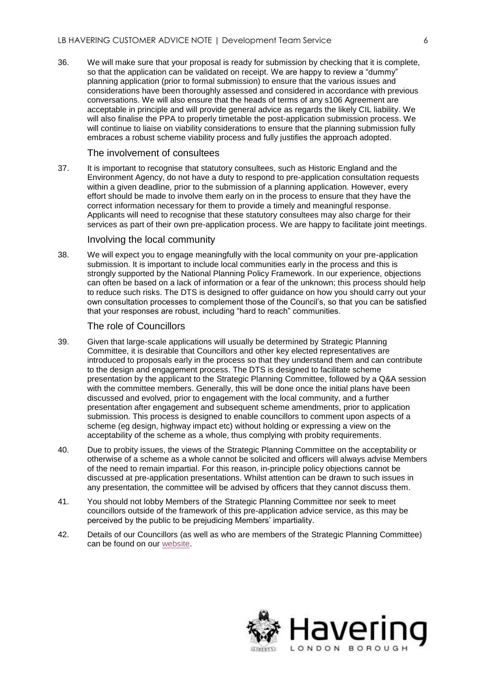so that the application can be validated on receipt. We are happy to review a "dummy" acceptable in principle and will provide general advice as regards the likely CIL liability. We will also finalise the PPA to properly timetable the post-application submission process. We 36. We will make sure that your proposal is ready for submission by checking that it is complete, planning application (prior to formal submission) to ensure that the various issues and considerations have been thoroughly assessed and considered in accordance with previous conversations. We will also ensure that the heads of terms of any s106 Agreement are will continue to liaise on viability considerations to ensure that the planning submission fully embraces a robust scheme viability process and fully justifies the approach adopted.

#### The involvement of consultees

 Applicants will need to recognise that these statutory consultees may also charge for their 37. It is important to recognise that statutory consultees, such as Historic England and the Environment Agency, do not have a duty to respond to pre-application consultation requests within a given deadline, prior to the submission of a planning application. However, every effort should be made to involve them early on in the process to ensure that they have the correct information necessary for them to provide a timely and meaningful response. services as part of their own pre-application process. We are happy to facilitate joint meetings.

#### Involving the local community

 38. We will expect you to engage meaningfully with the local community on your pre-application submission. It is important to include local communities early in the process and this is strongly supported by the National Planning Policy Framework. In our experience, objections can often be based on a lack of information or a fear of the unknown; this process should help to reduce such risks. The DTS is designed to offer guidance on how you should carry out your own consultation processes to complement those of the Council's, so that you can be satisfied that your responses are robust, including "hard to reach" communities.

#### The role of Councillors

- 39. Given that large-scale applications will usually be determined by Strategic Planning introduced to proposals early in the process so that they understand them and can contribute with the committee members. Generally, this will be done once the initial plans have been scheme (eg design, highway impact etc) without holding or expressing a view on the Committee, it is desirable that Councillors and other key elected representatives are to the design and engagement process. The DTS is designed to facilitate scheme presentation by the applicant to the Strategic Planning Committee, followed by a Q&A session discussed and evolved, prior to engagement with the local community, and a further presentation after engagement and subsequent scheme amendments, prior to application submission. This process is designed to enable councillors to comment upon aspects of a acceptability of the scheme as a whole, thus complying with probity requirements.
- 40. Due to probity issues, the views of the Strategic Planning Committee on the acceptability or discussed at pre-application presentations. Whilst attention can be drawn to such issues in any presentation, the committee will be advised by officers that they cannot discuss them. otherwise of a scheme as a whole cannot be solicited and officers will always advise Members of the need to remain impartial. For this reason, in-principle policy objections cannot be
- councillors outside of the framework of this pre-application advice service, as this may be 41. You should not lobby Members of the Strategic Planning Committee nor seek to meet perceived by the public to be prejudicing Members' impartiality.
- 42. Details of our Councillors (as well as who are members of the Strategic Planning Committee) can be found on our [website.](http://democracy.havering.gov.uk/mgMemberIndex.aspx?bcr=1)

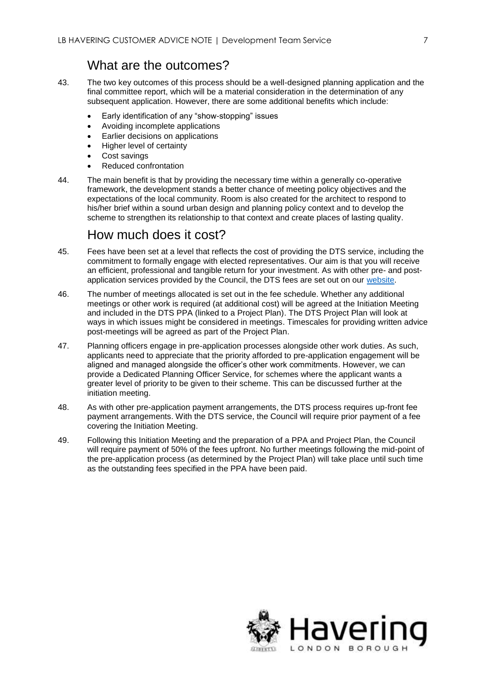### What are the outcomes?

- 43. The two key outcomes of this process should be a well-designed planning application and the final committee report, which will be a material consideration in the determination of any subsequent application. However, there are some additional benefits which include:
	- Early identification of any "show-stopping" issues
	- Avoiding incomplete applications
	- **Earlier decisions on applications**
	- Higher level of certainty
	- Cost savings
	- Reduced confrontation
- 44. framework, the development stands a better chance of meeting policy objectives and the his/her brief within a sound urban design and planning policy context and to develop the The main benefit is that by providing the necessary time within a generally co-operative expectations of the local community. Room is also created for the architect to respond to scheme to strengthen its relationship to that context and create places of lasting quality.

### How much does it cost?

- 45. Fees have been set at a level that reflects the cost of providing the DTS service, including the commitment to formally engage with elected representatives. Our aim is that you will receive an efficient, professional and tangible return for your investment. As with other pre- and postapplication services provided by the Council, the DTS fees are set out on our [website.](https://www.havering.gov.uk/info/20034/planning/649/planning_pre-application_advice)
- 46. The number of meetings allocated is set out in the fee schedule. Whether any additional and included in the DTS PPA (linked to a Project Plan). The DTS Project Plan will look at post-meetings will be agreed as part of the Project Plan. meetings or other work is required (at additional cost) will be agreed at the Initiation Meeting ways in which issues might be considered in meetings. Timescales for providing written advice
- aligned and managed alongside the officer's other work commitments. However, we can 47. Planning officers engage in pre-application processes alongside other work duties. As such, applicants need to appreciate that the priority afforded to pre-application engagement will be provide a Dedicated Planning Officer Service, for schemes where the applicant wants a greater level of priority to be given to their scheme. This can be discussed further at the initiation meeting.
- 48. 48. As with other pre-application payment arrangements, the DTS process requires up-front fee payment arrangements. With the DTS service, the Council will require prior payment of a fee covering the Initiation Meeting.
- the pre-application process (as determined by the Project Plan) will take place until such time 49. Following this Initiation Meeting and the preparation of a PPA and Project Plan, the Council will require payment of 50% of the fees upfront. No further meetings following the mid-point of as the outstanding fees specified in the PPA have been paid.

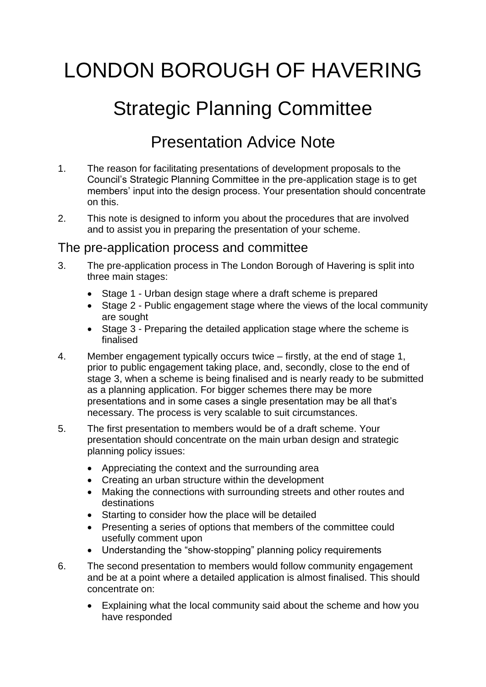# LONDON BOROUGH OF HAVERING

## Strategic Planning Committee

## Presentation Advice Note

- 1. The reason for facilitating presentations of development proposals to the Council's Strategic Planning Committee in the pre-application stage is to get members' input into the design process. Your presentation should concentrate on this.
- and to assist you in preparing the presentation of your scheme. 2. This note is designed to inform you about the procedures that are involved

## The pre-application process and committee

- 3. The pre-application process in The London Borough of Havering is split into three main stages:
	- Stage 1 Urban design stage where a draft scheme is prepared
	- Stage 2 Public engagement stage where the views of the local community are sought
	- Stage 3 Preparing the detailed application stage where the scheme is finalised
- 4. Member engagement typically occurs twice firstly, at the end of stage 1, prior to public engagement taking place, and, secondly, close to the end of stage 3, when a scheme is being finalised and is nearly ready to be submitted as a planning application. For bigger schemes there may be more presentations and in some cases a single presentation may be all that's necessary. The process is very scalable to suit circumstances.
- $5<sub>1</sub>$  presentation should concentrate on the main urban design and strategic The first presentation to members would be of a draft scheme. Your planning policy issues:
	- Appreciating the context and the surrounding area
	- Creating an urban structure within the development
	- Making the connections with surrounding streets and other routes and destinations
	- Starting to consider how the place will be detailed
	- Presenting a series of options that members of the committee could usefully comment upon
	- Understanding the "show-stopping" planning policy requirements
- and be at a point where a detailed application is almost finalised. This should 6. The second presentation to members would follow community engagement concentrate on:
	- Explaining what the local community said about the scheme and how you have responded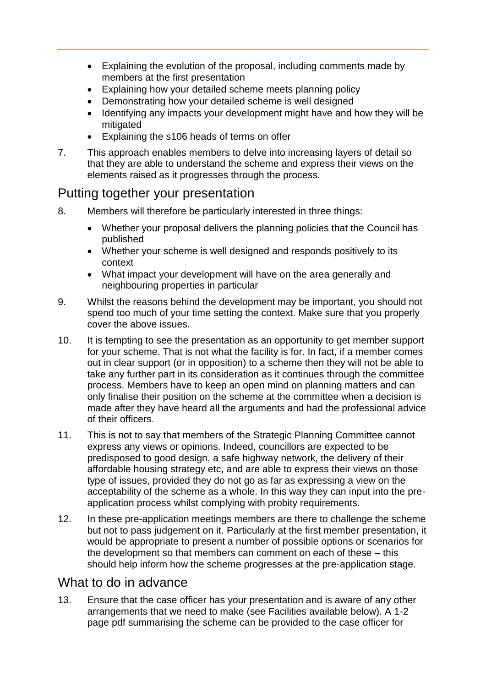- Explaining the evolution of the proposal, including comments made by members at the first presentation
- Explaining how your detailed scheme meets planning policy
- Demonstrating how your detailed scheme is well designed
- Identifying any impacts your development might have and how they will be mitigated
- Explaining the s106 heads of terms on offer
- 7. This approach enables members to delve into increasing layers of detail so that they are able to understand the scheme and express their views on the elements raised as it progresses through the process.

## Putting together your presentation

- 8. Members will therefore be particularly interested in three things:
	- published Whether your proposal delivers the planning policies that the Council has
	- Whether your scheme is well designed and responds positively to its context
	- What impact your development will have on the area generally and neighbouring properties in particular
- spend too much of your time setting the context. Make sure that you properly 9. Whilst the reasons behind the development may be important, you should not cover the above issues.
- for your scheme. That is not what the facility is for. In fact, if a member comes take any further part in its consideration as it continues through the committee of their officers. 10. It is tempting to see the presentation as an opportunity to get member support out in clear support (or in opposition) to a scheme then they will not be able to process. Members have to keep an open mind on planning matters and can only finalise their position on the scheme at the committee when a decision is made after they have heard all the arguments and had the professional advice
- predisposed to good design, a safe highway network, the delivery of their 11. This is not to say that members of the Strategic Planning Committee cannot express any views or opinions. Indeed, councillors are expected to be affordable housing strategy etc, and are able to express their views on those type of issues, provided they do not go as far as expressing a view on the acceptability of the scheme as a whole. In this way they can input into the preapplication process whilst complying with probity requirements.
- $12.$  the development so that members can comment on each of these – this In these pre-application meetings members are there to challenge the scheme but not to pass judgement on it. Particularly at the first member presentation, it would be appropriate to present a number of possible options or scenarios for should help inform how the scheme progresses at the pre-application stage.

## What to do in advance

 page pdf summarising the scheme can be provided to the case officer for 13. Ensure that the case officer has your presentation and is aware of any other arrangements that we need to make (see Facilities available below). A 1-2